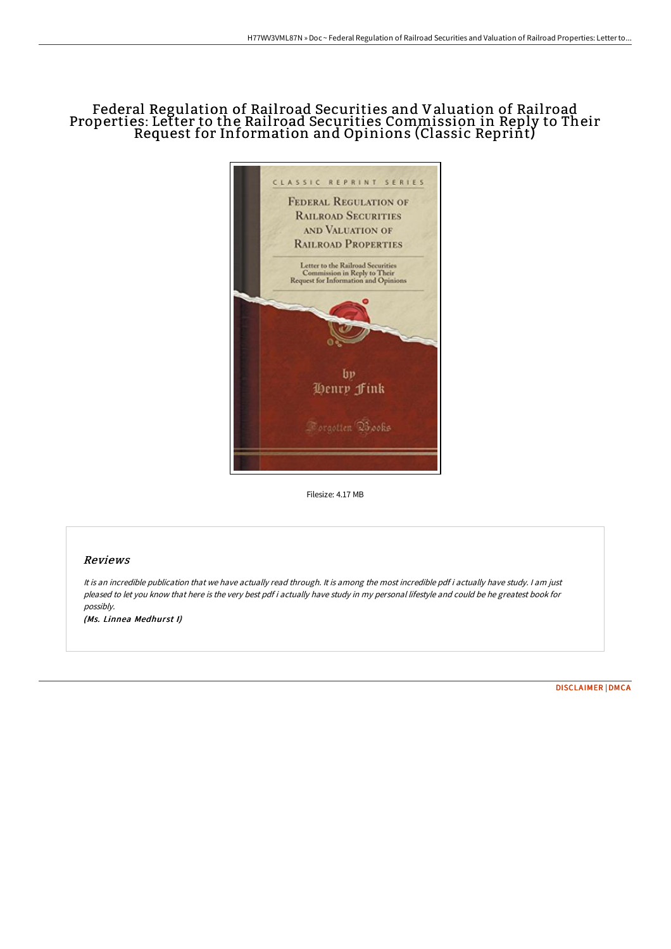# Federal Regulation of Rail road Securities and Valuation of Rail road Properties: Letter to the Rail road Securities Commission in Reply to Their Request for Information and Opinions (Classic Reprint)



Filesize: 4.17 MB

## Reviews

It is an incredible publication that we have actually read through. It is among the most incredible pdf i actually have study. <sup>I</sup> am just pleased to let you know that here is the very best pdf i actually have study in my personal lifestyle and could be he greatest book for possibly.

(Ms. Linnea Medhurst I)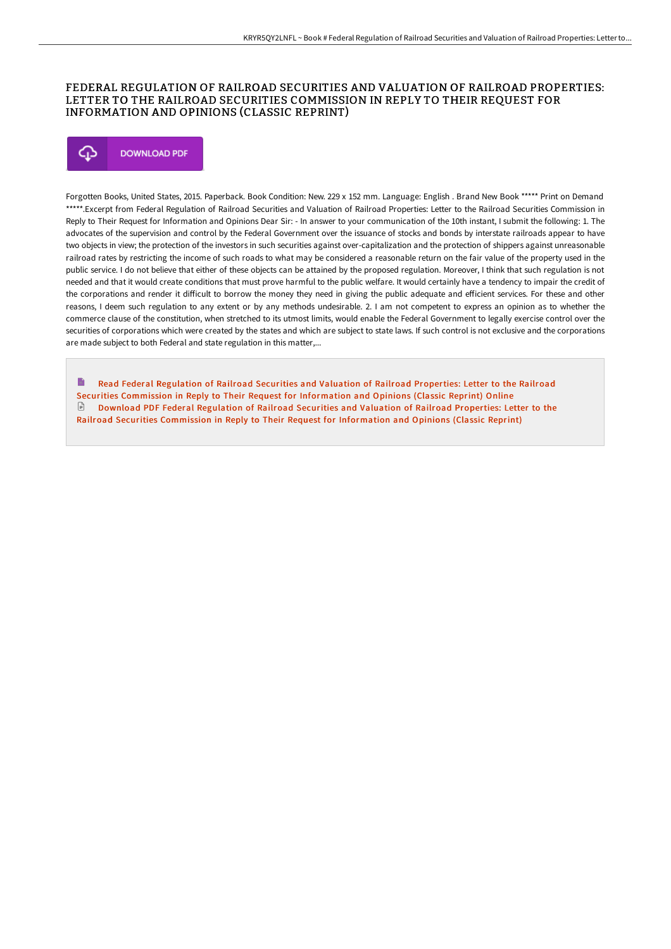### FEDERAL REGULATION OF RAILROAD SECURITIES AND VALUATION OF RAILROAD PROPERTIES: LETTER TO THE RAILROAD SECURITIES COMMISSION IN REPLY TO THEIR REQUEST FOR INFORMATION AND OPINIONS (CLASSIC REPRINT)

## Φ **DOWNLOAD PDF**

Forgotten Books, United States, 2015. Paperback. Book Condition: New. 229 x 152 mm. Language: English . Brand New Book \*\*\*\*\* Print on Demand \*\*\*\*\*.Excerpt from Federal Regulation of Railroad Securities and Valuation of Railroad Properties: Letter to the Railroad Securities Commission in Reply to Their Request for Information and Opinions Dear Sir: - In answer to your communication of the 10th instant, I submit the following: 1. The advocates of the supervision and control by the Federal Government over the issuance of stocks and bonds by interstate railroads appear to have two objects in view; the protection of the investors in such securities against over-capitalization and the protection of shippers against unreasonable railroad rates by restricting the income of such roads to what may be considered a reasonable return on the fair value of the property used in the public service. I do not believe that either of these objects can be attained by the proposed regulation. Moreover, I think that such regulation is not needed and that it would create conditions that must prove harmful to the public welfare. It would certainly have a tendency to impair the credit of the corporations and render it difficult to borrow the money they need in giving the public adequate and efficient services. For these and other reasons, I deem such regulation to any extent or by any methods undesirable. 2. I am not competent to express an opinion as to whether the commerce clause of the constitution, when stretched to its utmost limits, would enable the Federal Government to legally exercise control over the securities of corporations which were created by the states and which are subject to state laws. If such control is not exclusive and the corporations are made subject to both Federal and state regulation in this matter,...

Read Federal Regulation of Railroad Securities and Valuation of Railroad Properties: Letter to the Railroad Securities [Commission](http://techno-pub.tech/federal-regulation-of-railroad-securities-and-va.html) in Reply to Their Request for Information and Opinions (Classic Reprint) Online Download PDF Federal Regulation of Railroad Securities and Valuation of Railroad Properties: Letter to the Railroad Securities [Commission](http://techno-pub.tech/federal-regulation-of-railroad-securities-and-va.html) in Reply to Their Request for Information and Opinions (Classic Reprint)